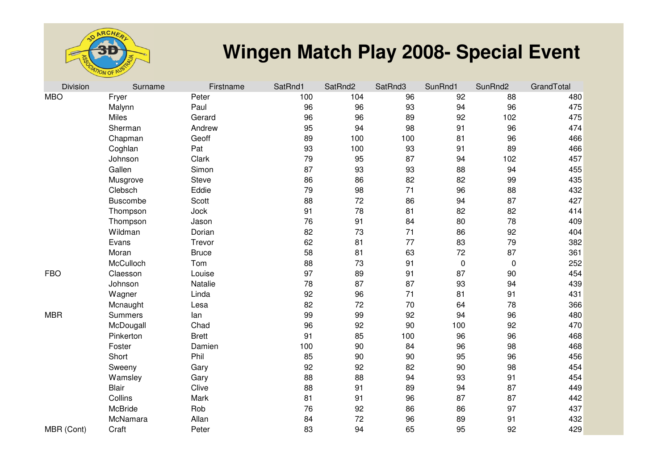

## **Wingen Match Play 2008- Special Event**

| <b>Division</b> | Surname         | Firstname    | SatRnd1 | SatRnd2 | SatRnd3 | SunRnd1   | SunRnd2   | GrandTotal |
|-----------------|-----------------|--------------|---------|---------|---------|-----------|-----------|------------|
| <b>MBO</b>      | Fryer           | Peter        | 100     | 104     | 96      | 92        | 88        | 480        |
|                 | Malynn          | Paul         | 96      | 96      | 93      | 94        | 96        | 475        |
|                 | Miles           | Gerard       | 96      | 96      | 89      | 92        | 102       | 475        |
|                 | Sherman         | Andrew       | 95      | 94      | 98      | 91        | 96        | 474        |
|                 | Chapman         | Geoff        | 89      | 100     | 100     | 81        | 96        | 466        |
|                 | Coghlan         | Pat          | 93      | 100     | 93      | 91        | 89        | 466        |
|                 | Johnson         | Clark        | 79      | 95      | 87      | 94        | 102       | 457        |
|                 | Gallen          | Simon        | 87      | 93      | 93      | 88        | 94        | 455        |
|                 | Musgrove        | <b>Steve</b> | 86      | 86      | 82      | 82        | 99        | 435        |
|                 | Clebsch         | Eddie        | 79      | 98      | 71      | 96        | 88        | 432        |
|                 | <b>Buscombe</b> | Scott        | 88      | 72      | 86      | 94        | 87        | 427        |
|                 | Thompson        | Jock         | 91      | 78      | 81      | 82        | 82        | 414        |
|                 | Thompson        | Jason        | 76      | 91      | 84      | 80        | 78        | 409        |
|                 | Wildman         | Dorian       | 82      | 73      | 71      | 86        | 92        | 404        |
|                 | Evans           | Trevor       | 62      | 81      | 77      | 83        | 79        | 382        |
|                 | Moran           | <b>Bruce</b> | 58      | 81      | 63      | 72        | 87        | 361        |
|                 | McCulloch       | Tom          | 88      | 73      | 91      | $\pmb{0}$ | $\pmb{0}$ | 252        |
| <b>FBO</b>      | Claesson        | Louise       | 97      | 89      | 91      | 87        | 90        | 454        |
|                 | Johnson         | Natalie      | 78      | 87      | 87      | 93        | 94        | 439        |
|                 | Wagner          | Linda        | 92      | 96      | 71      | 81        | 91        | 431        |
|                 | Mcnaught        | Lesa         | 82      | 72      | 70      | 64        | 78        | 366        |
| <b>MBR</b>      | <b>Summers</b>  | lan          | 99      | 99      | 92      | 94        | 96        | 480        |
|                 | McDougall       | Chad         | 96      | 92      | 90      | 100       | 92        | 470        |
|                 | Pinkerton       | <b>Brett</b> | 91      | 85      | 100     | 96        | 96        | 468        |
|                 | Foster          | Damien       | 100     | 90      | 84      | 96        | 98        | 468        |
|                 | Short           | Phil         | 85      | 90      | 90      | 95        | 96        | 456        |
|                 | Sweeny          | Gary         | 92      | 92      | 82      | 90        | 98        | 454        |
|                 | Wamsley         | Gary         | 88      | 88      | 94      | 93        | 91        | 454        |
|                 | <b>Blair</b>    | Clive        | 88      | 91      | 89      | 94        | 87        | 449        |
|                 | Collins         | Mark         | 81      | 91      | 96      | 87        | 87        | 442        |
|                 | <b>McBride</b>  | Rob          | 76      | 92      | 86      | 86        | 97        | 437        |
|                 | McNamara        | Allan        | 84      | 72      | 96      | 89        | 91        | 432        |
| MBR (Cont)      | Craft           | Peter        | 83      | 94      | 65      | 95        | 92        | 429        |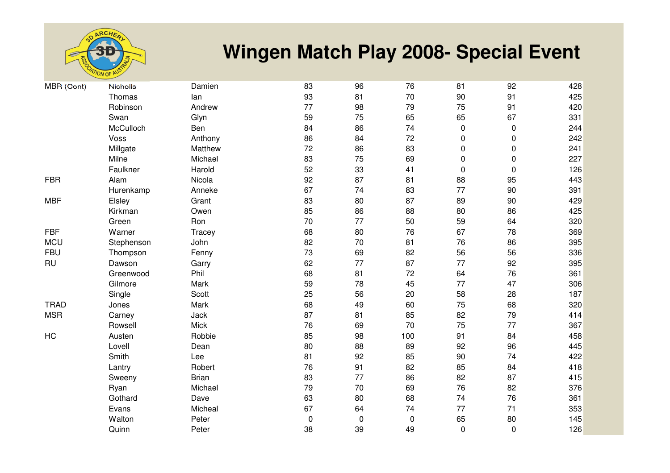

## **Wingen Match Play 2008- Special Event**

| MBR (Cont)  | <b>Nicholls</b> | Damien       | 83 | 96        | 76        | 81          | 92        | 428 |
|-------------|-----------------|--------------|----|-----------|-----------|-------------|-----------|-----|
|             | Thomas          | lan          | 93 | 81        | 70        | 90          | 91        | 425 |
|             | Robinson        | Andrew       | 77 | 98        | 79        | 75          | 91        | 420 |
|             | Swan            | Glyn         | 59 | 75        | 65        | 65          | 67        | 331 |
|             | McCulloch       | Ben          | 84 | 86        | 74        | 0           | $\pmb{0}$ | 244 |
|             | Voss            | Anthony      | 86 | 84        | 72        | 0           | 0         | 242 |
|             | Millgate        | Matthew      | 72 | 86        | 83        | 0           | $\pmb{0}$ | 241 |
|             | Milne           | Michael      | 83 | 75        | 69        | $\pmb{0}$   | $\pmb{0}$ | 227 |
|             | Faulkner        | Harold       | 52 | 33        | 41        | $\pmb{0}$   | $\pmb{0}$ | 126 |
| <b>FBR</b>  | Alam            | Nicola       | 92 | 87        | 81        | 88          | 95        | 443 |
|             | Hurenkamp       | Anneke       | 67 | 74        | 83        | 77          | 90        | 391 |
| <b>MBF</b>  | Elsley          | Grant        | 83 | 80        | 87        | 89          | 90        | 429 |
|             | Kirkman         | Owen         | 85 | 86        | 88        | 80          | 86        | 425 |
|             | Green           | Ron          | 70 | 77        | 50        | 59          | 64        | 320 |
| <b>FBF</b>  | Warner          | Tracey       | 68 | 80        | 76        | 67          | 78        | 369 |
| <b>MCU</b>  | Stephenson      | John         | 82 | 70        | 81        | 76          | 86        | 395 |
| <b>FBU</b>  | Thompson        | Fenny        | 73 | 69        | 82        | 56          | 56        | 336 |
| <b>RU</b>   | Dawson          | Garry        | 62 | 77        | 87        | 77          | 92        | 395 |
|             | Greenwood       | Phil         | 68 | 81        | 72        | 64          | 76        | 361 |
|             | Gilmore         | Mark         | 59 | 78        | 45        | 77          | 47        | 306 |
|             | Single          | Scott        | 25 | 56        | 20        | 58          | 28        | 187 |
| <b>TRAD</b> | Jones           | Mark         | 68 | 49        | 60        | 75          | 68        | 320 |
| <b>MSR</b>  | Carney          | Jack         | 87 | 81        | 85        | 82          | 79        | 414 |
|             | Rowsell         | <b>Mick</b>  | 76 | 69        | 70        | 75          | 77        | 367 |
| HC          | Austen          | Robbie       | 85 | 98        | 100       | 91          | 84        | 458 |
|             | Lovell          | Dean         | 80 | 88        | 89        | 92          | 96        | 445 |
|             | Smith           | Lee          | 81 | 92        | 85        | 90          | 74        | 422 |
|             | Lantry          | Robert       | 76 | 91        | 82        | 85          | 84        | 418 |
|             | Sweeny          | <b>Brian</b> | 83 | 77        | 86        | 82          | 87        | 415 |
|             | Ryan            | Michael      | 79 | 70        | 69        | 76          | 82        | 376 |
|             | Gothard         | Dave         | 63 | 80        | 68        | 74          | 76        | 361 |
|             | Evans           | Micheal      | 67 | 64        | 74        | 77          | 71        | 353 |
|             | Walton          | Peter        | 0  | $\pmb{0}$ | $\pmb{0}$ | 65          | 80        | 145 |
|             | Quinn           | Peter        | 38 | 39        | 49        | $\mathbf 0$ | $\pmb{0}$ | 126 |